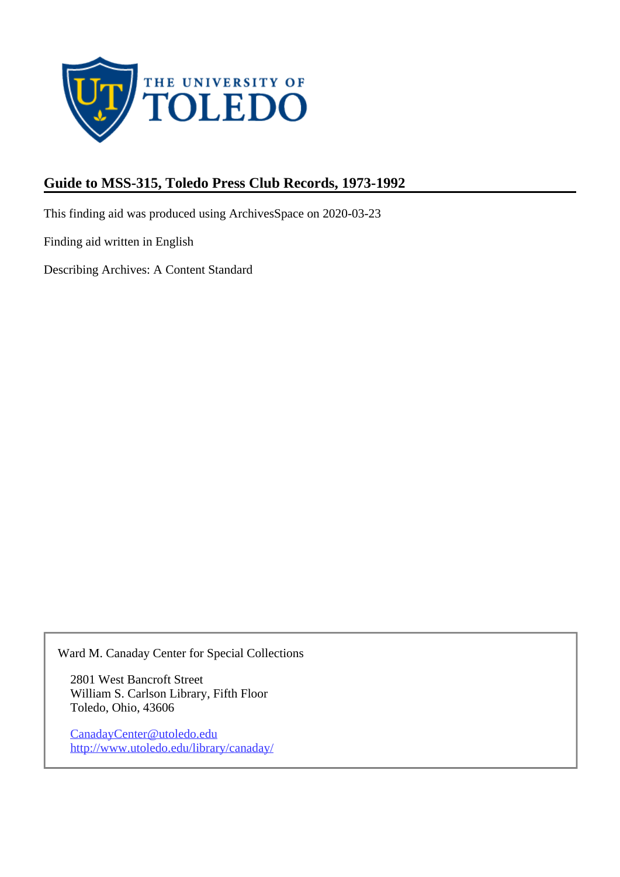

# **Guide to MSS-315, Toledo Press Club Records, 1973-1992**

This finding aid was produced using ArchivesSpace on 2020-03-23

Finding aid written in English

Describing Archives: A Content Standard

Ward M. Canaday Center for Special Collections

2801 West Bancroft Street William S. Carlson Library, Fifth Floor Toledo, Ohio, 43606

CanadayCenter@utoledo.edu <http://www.utoledo.edu/library/canaday/>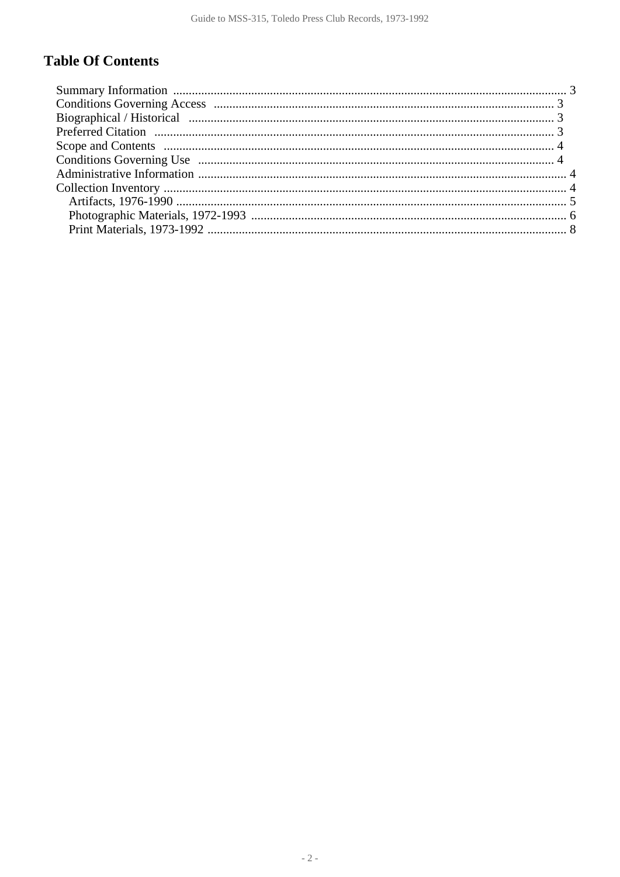## **Table Of Contents**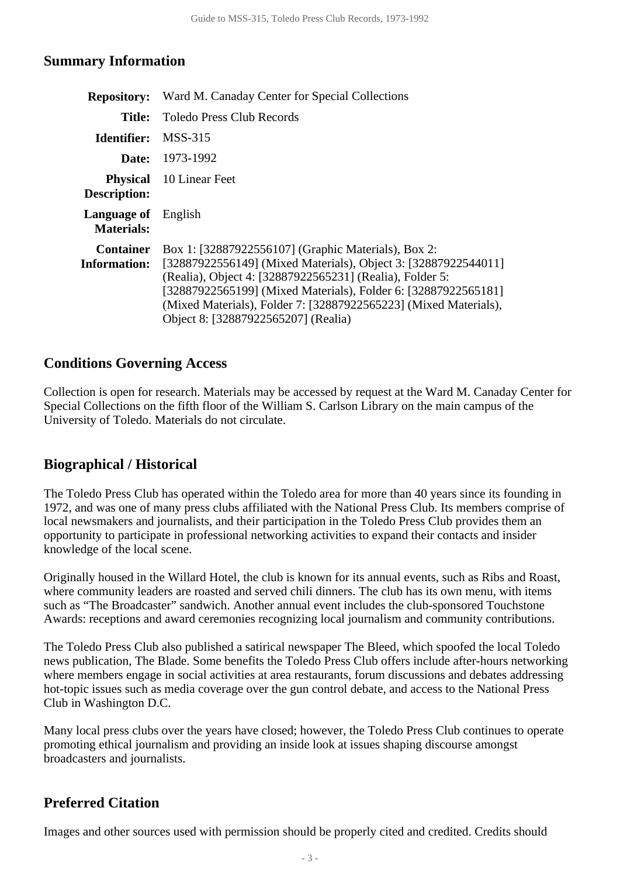#### <span id="page-2-0"></span>**Summary Information**

|                                                 | <b>Repository:</b> Ward M. Canaday Center for Special Collections                                                                                                                                                                                                                                                                                              |  |  |
|-------------------------------------------------|----------------------------------------------------------------------------------------------------------------------------------------------------------------------------------------------------------------------------------------------------------------------------------------------------------------------------------------------------------------|--|--|
| Title:                                          | <b>Toledo Press Club Records</b>                                                                                                                                                                                                                                                                                                                               |  |  |
| Identifier:                                     | MSS-315                                                                                                                                                                                                                                                                                                                                                        |  |  |
|                                                 | <b>Date:</b> 1973-1992                                                                                                                                                                                                                                                                                                                                         |  |  |
| Description:                                    | <b>Physical</b> 10 Linear Feet                                                                                                                                                                                                                                                                                                                                 |  |  |
| <b>Language of</b> English<br><b>Materials:</b> |                                                                                                                                                                                                                                                                                                                                                                |  |  |
| <b>Container</b><br><b>Information:</b>         | Box 1: [32887922556107] (Graphic Materials), Box 2:<br>[32887922556149] (Mixed Materials), Object 3: [32887922544011]<br>(Realia), Object 4: [32887922565231] (Realia), Folder 5:<br>[32887922565199] (Mixed Materials), Folder 6: [32887922565181]<br>(Mixed Materials), Folder 7: [32887922565223] (Mixed Materials),<br>Object 8: [32887922565207] (Realia) |  |  |

#### <span id="page-2-1"></span>**Conditions Governing Access**

Collection is open for research. Materials may be accessed by request at the Ward M. Canaday Center for Special Collections on the fifth floor of the William S. Carlson Library on the main campus of the University of Toledo. Materials do not circulate.

### <span id="page-2-2"></span>**Biographical / Historical**

The Toledo Press Club has operated within the Toledo area for more than 40 years since its founding in 1972, and was one of many press clubs affiliated with the National Press Club. Its members comprise of local newsmakers and journalists, and their participation in the Toledo Press Club provides them an opportunity to participate in professional networking activities to expand their contacts and insider knowledge of the local scene.

Originally housed in the Willard Hotel, the club is known for its annual events, such as Ribs and Roast, where community leaders are roasted and served chili dinners. The club has its own menu, with items such as "The Broadcaster" sandwich. Another annual event includes the club-sponsored Touchstone Awards: receptions and award ceremonies recognizing local journalism and community contributions.

The Toledo Press Club also published a satirical newspaper The Bleed, which spoofed the local Toledo news publication, The Blade. Some benefits the Toledo Press Club offers include after-hours networking where members engage in social activities at area restaurants, forum discussions and debates addressing hot-topic issues such as media coverage over the gun control debate, and access to the National Press Club in Washington D.C.

Many local press clubs over the years have closed; however, the Toledo Press Club continues to operate promoting ethical journalism and providing an inside look at issues shaping discourse amongst broadcasters and journalists.

### <span id="page-2-3"></span>**Preferred Citation**

Images and other sources used with permission should be properly cited and credited. Credits should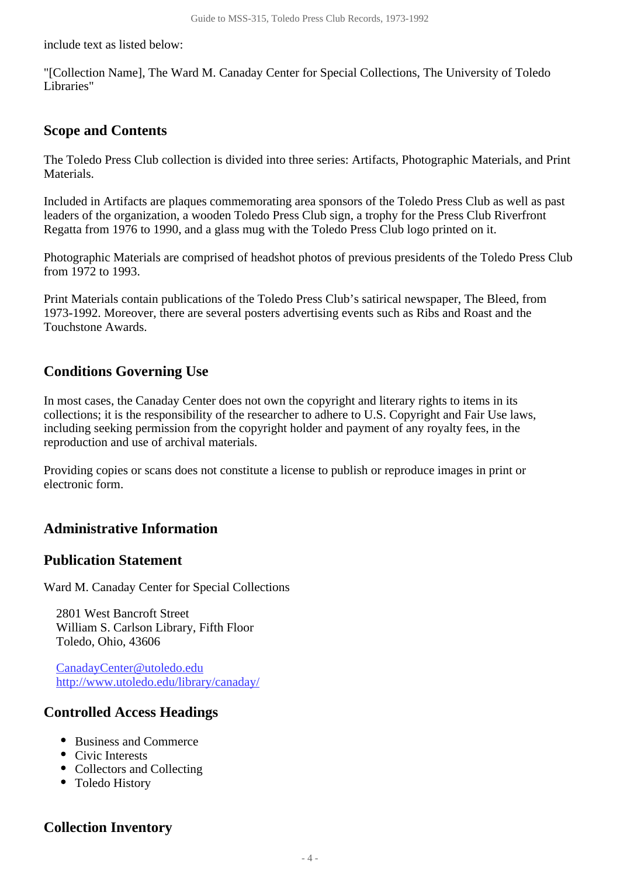include text as listed below:

"[Collection Name], The Ward M. Canaday Center for Special Collections, The University of Toledo Libraries"

#### <span id="page-3-0"></span>**Scope and Contents**

The Toledo Press Club collection is divided into three series: Artifacts, Photographic Materials, and Print Materials.

Included in Artifacts are plaques commemorating area sponsors of the Toledo Press Club as well as past leaders of the organization, a wooden Toledo Press Club sign, a trophy for the Press Club Riverfront Regatta from 1976 to 1990, and a glass mug with the Toledo Press Club logo printed on it.

Photographic Materials are comprised of headshot photos of previous presidents of the Toledo Press Club from 1972 to 1993.

Print Materials contain publications of the Toledo Press Club's satirical newspaper, The Bleed, from 1973-1992. Moreover, there are several posters advertising events such as Ribs and Roast and the Touchstone Awards.

#### <span id="page-3-1"></span>**Conditions Governing Use**

In most cases, the Canaday Center does not own the copyright and literary rights to items in its collections; it is the responsibility of the researcher to adhere to U.S. Copyright and Fair Use laws, including seeking permission from the copyright holder and payment of any royalty fees, in the reproduction and use of archival materials.

Providing copies or scans does not constitute a license to publish or reproduce images in print or electronic form.

### <span id="page-3-2"></span>**Administrative Information**

#### **Publication Statement**

Ward M. Canaday Center for Special Collections

2801 West Bancroft Street William S. Carlson Library, Fifth Floor Toledo, Ohio, 43606

CanadayCenter@utoledo.edu <http://www.utoledo.edu/library/canaday/>

#### **Controlled Access Headings**

- Business and Commerce
- Civic Interests
- Collectors and Collecting
- Toledo History

### <span id="page-3-3"></span>**Collection Inventory**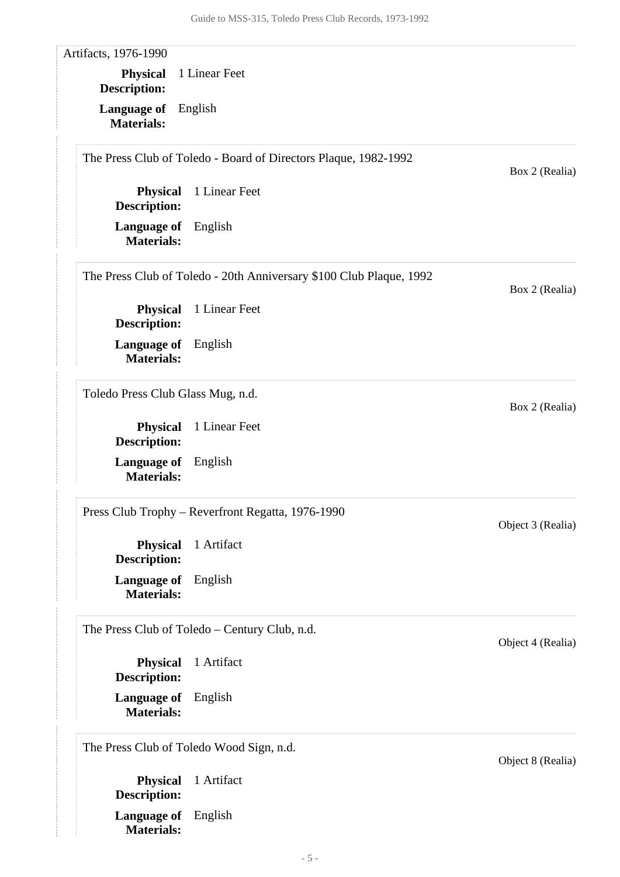<span id="page-4-0"></span>Artifacts, 1976-1990

**Language of** English **Physical** 1 Linear Feet **Description:**

**Materials:**

The Press Club of Toledo - Board of Directors Plaque, 1982-1992

**Language of** English **Materials: Physical** 1 Linear Feet **Description:**

The Press Club of Toledo - 20th Anniversary \$100 Club Plaque, 1992

**Language of** English **Materials: Physical** 1 Linear Feet **Description:**

Toledo Press Club Glass Mug, n.d.

**Language of** English **Materials: Physical** 1 Linear Feet **Description:**

Press Club Trophy – Reverfront Regatta, 1976-1990

**Language of** English **Materials: Physical** 1 Artifact **Description:**

The Press Club of Toledo – Century Club, n.d.

**Language of** English **Materials: Physical** 1 Artifact **Description:**

The Press Club of Toledo Wood Sign, n.d.

**Language of** English **Materials: Physical** 1 Artifact **Description:**

Object 4 (Realia)

Object 3 (Realia)

Box 2 (Realia)

Box 2 (Realia)

Box 2 (Realia)

Object 8 (Realia)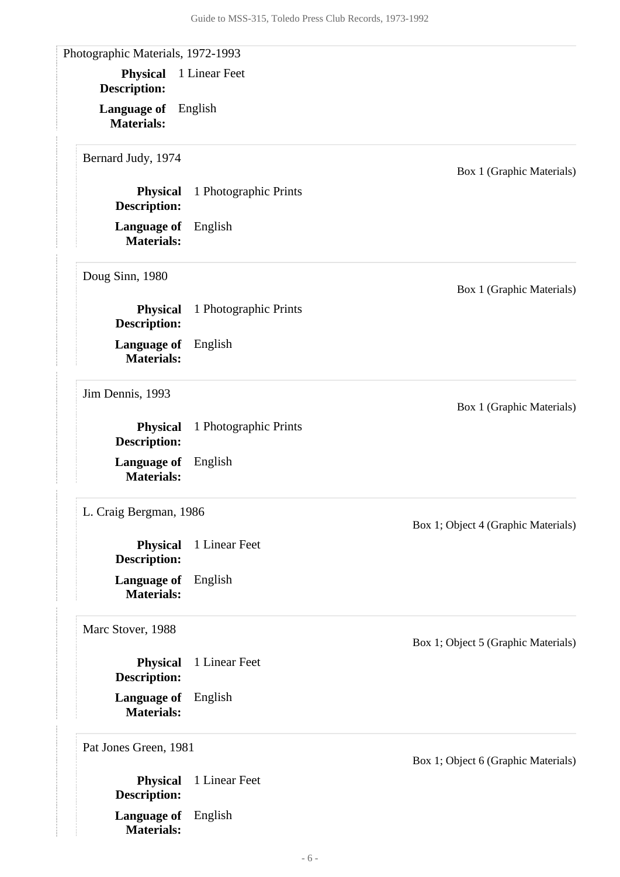<span id="page-5-0"></span>

| <b>Physical</b><br><b>Description:</b>  | 1 Linear Feet         |                                     |
|-----------------------------------------|-----------------------|-------------------------------------|
| Language of<br><b>Materials:</b>        | English               |                                     |
| Bernard Judy, 1974                      |                       | Box 1 (Graphic Materials)           |
| <b>Physical</b><br><b>Description:</b>  | 1 Photographic Prints |                                     |
| <b>Language of</b><br><b>Materials:</b> | English               |                                     |
| Doug Sinn, 1980                         |                       | Box 1 (Graphic Materials)           |
| <b>Physical</b><br><b>Description:</b>  | 1 Photographic Prints |                                     |
| Language of<br><b>Materials:</b>        | English               |                                     |
| Jim Dennis, 1993                        |                       | Box 1 (Graphic Materials)           |
| <b>Physical</b><br><b>Description:</b>  | 1 Photographic Prints |                                     |
| Language of<br><b>Materials:</b>        | English               |                                     |
| L. Craig Bergman, 1986                  |                       | Box 1; Object 4 (Graphic Materials) |
| <b>Physical</b><br><b>Description:</b>  | 1 Linear Feet         |                                     |
| Language of<br><b>Materials:</b>        | English               |                                     |
| Marc Stover, 1988                       |                       | Box 1; Object 5 (Graphic Materials) |
| <b>Physical</b><br><b>Description:</b>  | 1 Linear Feet         |                                     |
| Language of<br><b>Materials:</b>        | English               |                                     |
| Pat Jones Green, 1981                   |                       | Box 1; Object 6 (Graphic Materials) |
| <b>Physical</b><br><b>Description:</b>  | 1 Linear Feet         |                                     |
| <b>Language of</b><br><b>Materials:</b> | English               |                                     |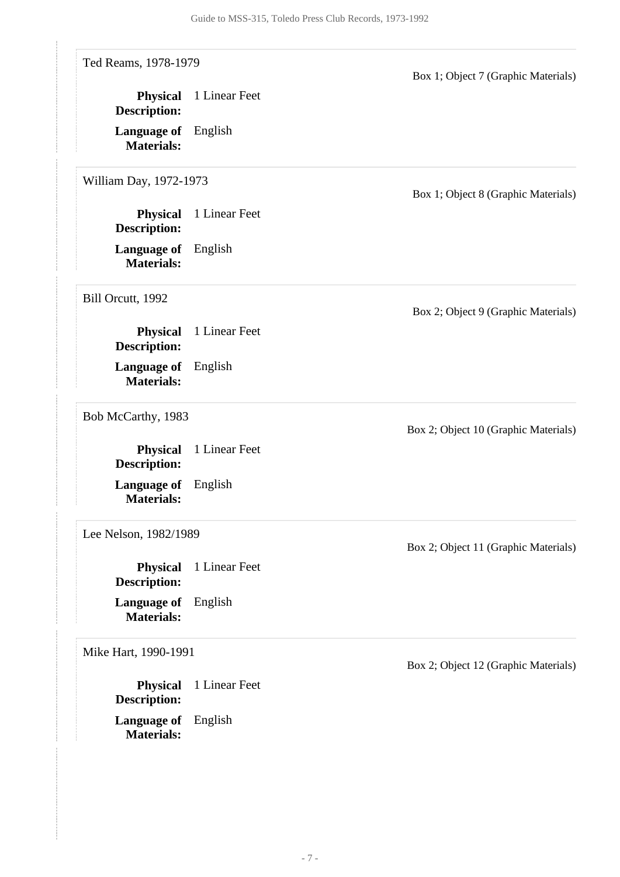| Ted Reams, 1978-1979                            |               | Box 1; Object 7 (Graphic Materials)  |
|-------------------------------------------------|---------------|--------------------------------------|
| <b>Physical</b><br><b>Description:</b>          | 1 Linear Feet |                                      |
| <b>Language of</b> English<br><b>Materials:</b> |               |                                      |
| William Day, 1972-1973                          |               | Box 1; Object 8 (Graphic Materials)  |
| <b>Physical</b><br><b>Description:</b>          | 1 Linear Feet |                                      |
| <b>Language of</b><br><b>Materials:</b>         | English       |                                      |
| Bill Orcutt, 1992                               |               | Box 2; Object 9 (Graphic Materials)  |
| <b>Physical</b><br><b>Description:</b>          | 1 Linear Feet |                                      |
| <b>Language of</b><br><b>Materials:</b>         | English       |                                      |
| Bob McCarthy, 1983                              |               | Box 2; Object 10 (Graphic Materials) |
| <b>Physical</b><br><b>Description:</b>          | 1 Linear Feet |                                      |
| <b>Language of</b><br><b>Materials:</b>         | English       |                                      |
| Lee Nelson, 1982/1989                           |               | Box 2; Object 11 (Graphic Materials) |
| <b>Physical</b><br><b>Description:</b>          | 1 Linear Feet |                                      |
| Language of<br><b>Materials:</b>                | English       |                                      |
| Mike Hart, 1990-1991                            |               | Box 2; Object 12 (Graphic Materials) |
| <b>Physical</b><br><b>Description:</b>          | 1 Linear Feet |                                      |
| <b>Language of</b> English                      |               |                                      |

**Materials:**